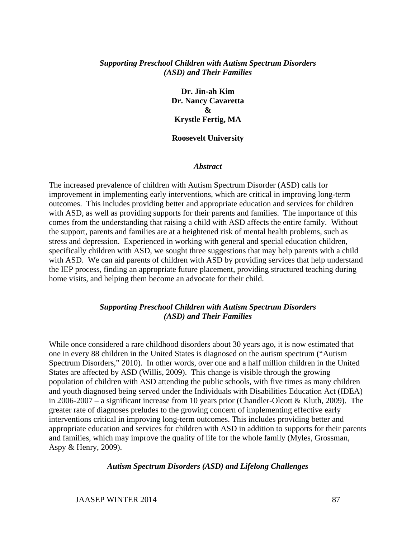## *Supporting Preschool Children with Autism Spectrum Disorders (ASD) and Their Families*

**Dr. Jin-ah Kim Dr. Nancy Cavaretta & Krystle Fertig, MA** 

#### **Roosevelt University**

#### *Abstract*

The increased prevalence of children with Autism Spectrum Disorder (ASD) calls for improvement in implementing early interventions, which are critical in improving long-term outcomes. This includes providing better and appropriate education and services for children with ASD, as well as providing supports for their parents and families. The importance of this comes from the understanding that raising a child with ASD affects the entire family. Without the support, parents and families are at a heightened risk of mental health problems, such as stress and depression. Experienced in working with general and special education children, specifically children with ASD, we sought three suggestions that may help parents with a child with ASD. We can aid parents of children with ASD by providing services that help understand the IEP process, finding an appropriate future placement, providing structured teaching during home visits, and helping them become an advocate for their child.

### *Supporting Preschool Children with Autism Spectrum Disorders (ASD) and Their Families*

While once considered a rare childhood disorders about 30 years ago, it is now estimated that one in every 88 children in the United States is diagnosed on the autism spectrum ("Autism Spectrum Disorders," 2010). In other words, over one and a half million children in the United States are affected by ASD (Willis, 2009). This change is visible through the growing population of children with ASD attending the public schools, with five times as many children and youth diagnosed being served under the Individuals with Disabilities Education Act (IDEA) in 2006-2007 – a significant increase from 10 years prior (Chandler-Olcott & Kluth, 2009). The greater rate of diagnoses preludes to the growing concern of implementing effective early interventions critical in improving long-term outcomes. This includes providing better and appropriate education and services for children with ASD in addition to supports for their parents and families, which may improve the quality of life for the whole family (Myles, Grossman, Aspy & Henry, 2009).

#### *Autism Spectrum Disorders (ASD) and Lifelong Challenges*

JAASEP WINTER 2014 87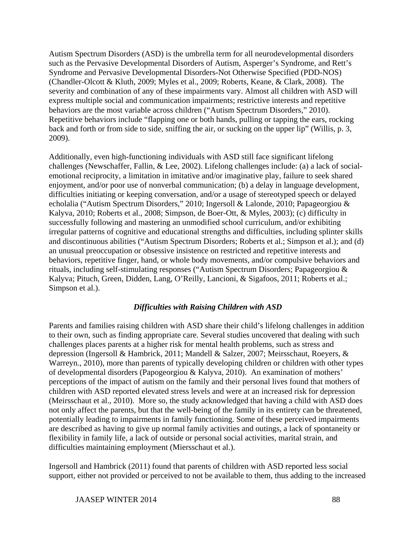Autism Spectrum Disorders (ASD) is the umbrella term for all neurodevelopmental disorders such as the Pervasive Developmental Disorders of Autism, Asperger's Syndrome, and Rett's Syndrome and Pervasive Developmental Disorders-Not Otherwise Specified (PDD-NOS) (Chandler-Olcott & Kluth, 2009; Myles et al., 2009; Roberts, Keane, & Clark, 2008). The severity and combination of any of these impairments vary. Almost all children with ASD will express multiple social and communication impairments; restrictive interests and repetitive behaviors are the most variable across children ("Autism Spectrum Disorders," 2010). Repetitive behaviors include "flapping one or both hands, pulling or tapping the ears, rocking back and forth or from side to side, sniffing the air, or sucking on the upper lip" (Willis, p. 3, 2009).

Additionally, even high-functioning individuals with ASD still face significant lifelong challenges (Newschaffer, Fallin, & Lee, 2002). Lifelong challenges include: (a) a lack of socialemotional reciprocity, a limitation in imitative and/or imaginative play, failure to seek shared enjoyment, and/or poor use of nonverbal communication; (b) a delay in language development, difficulties initiating or keeping conversation, and/or a usage of stereotyped speech or delayed echolalia ("Autism Spectrum Disorders," 2010; Ingersoll & Lalonde, 2010; Papageorgiou & Kalyva, 2010; Roberts et al., 2008; Simpson, de Boer-Ott, & Myles, 2003); (c) difficulty in successfully following and mastering an unmodified school curriculum, and/or exhibiting irregular patterns of cognitive and educational strengths and difficulties, including splinter skills and discontinuous abilities ("Autism Spectrum Disorders; Roberts et al.; Simpson et al.); and (d) an unusual preoccupation or obsessive insistence on restricted and repetitive interests and behaviors, repetitive finger, hand, or whole body movements, and/or compulsive behaviors and rituals, including self-stimulating responses ("Autism Spectrum Disorders; Papageorgiou & Kalyva; Pituch, Green, Didden, Lang, O'Reilly, Lancioni, & Sigafoos, 2011; Roberts et al.; Simpson et al.).

# *Difficulties with Raising Children with ASD*

Parents and families raising children with ASD share their child's lifelong challenges in addition to their own, such as finding appropriate care. Several studies uncovered that dealing with such challenges places parents at a higher risk for mental health problems, such as stress and depression (Ingersoll & Hambrick, 2011; Mandell & Salzer, 2007; Meirsschaut, Roeyers, & Warreyn., 2010), more than parents of typically developing children or children with other types of developmental disorders (Papogeorgiou & Kalyva, 2010). An examination of mothers' perceptions of the impact of autism on the family and their personal lives found that mothers of children with ASD reported elevated stress levels and were at an increased risk for depression (Meirsschaut et al., 2010). More so, the study acknowledged that having a child with ASD does not only affect the parents, but that the well-being of the family in its entirety can be threatened, potentially leading to impairments in family functioning. Some of these perceived impairments are described as having to give up normal family activities and outings, a lack of spontaneity or flexibility in family life, a lack of outside or personal social activities, marital strain, and difficulties maintaining employment (Miersschaut et al.).

Ingersoll and Hambrick (2011) found that parents of children with ASD reported less social support, either not provided or perceived to not be available to them, thus adding to the increased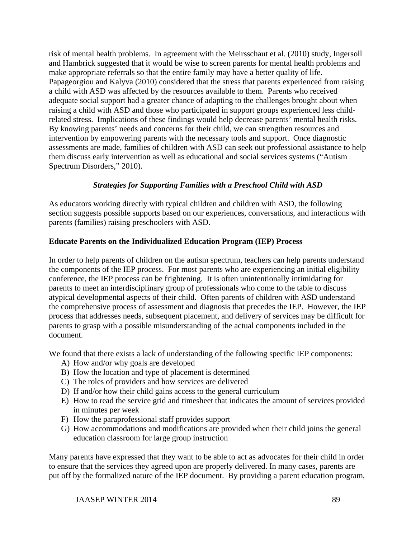risk of mental health problems. In agreement with the Meirsschaut et al. (2010) study, Ingersoll and Hambrick suggested that it would be wise to screen parents for mental health problems and make appropriate referrals so that the entire family may have a better quality of life. Papageorgiou and Kalyva (2010) considered that the stress that parents experienced from raising a child with ASD was affected by the resources available to them. Parents who received adequate social support had a greater chance of adapting to the challenges brought about when raising a child with ASD and those who participated in support groups experienced less childrelated stress. Implications of these findings would help decrease parents' mental health risks. By knowing parents' needs and concerns for their child, we can strengthen resources and intervention by empowering parents with the necessary tools and support. Once diagnostic assessments are made, families of children with ASD can seek out professional assistance to help them discuss early intervention as well as educational and social services systems ("Autism Spectrum Disorders," 2010).

# *Strategies for Supporting Families with a Preschool Child with ASD*

As educators working directly with typical children and children with ASD, the following section suggests possible supports based on our experiences, conversations, and interactions with parents (families) raising preschoolers with ASD.

# **Educate Parents on the Individualized Education Program (IEP) Process**

In order to help parents of children on the autism spectrum, teachers can help parents understand the components of the IEP process. For most parents who are experiencing an initial eligibility conference, the IEP process can be frightening. It is often unintentionally intimidating for parents to meet an interdisciplinary group of professionals who come to the table to discuss atypical developmental aspects of their child. Often parents of children with ASD understand the comprehensive process of assessment and diagnosis that precedes the IEP. However, the IEP process that addresses needs, subsequent placement, and delivery of services may be difficult for parents to grasp with a possible misunderstanding of the actual components included in the document.

We found that there exists a lack of understanding of the following specific IEP components:

- A) How and/or why goals are developed
- B) How the location and type of placement is determined
- C) The roles of providers and how services are delivered
- D) If and/or how their child gains access to the general curriculum
- E) How to read the service grid and timesheet that indicates the amount of services provided in minutes per week
- F) How the paraprofessional staff provides support
- G) How accommodations and modifications are provided when their child joins the general education classroom for large group instruction

Many parents have expressed that they want to be able to act as advocates for their child in order to ensure that the services they agreed upon are properly delivered. In many cases, parents are put off by the formalized nature of the IEP document. By providing a parent education program,

JAASEP WINTER 2014 89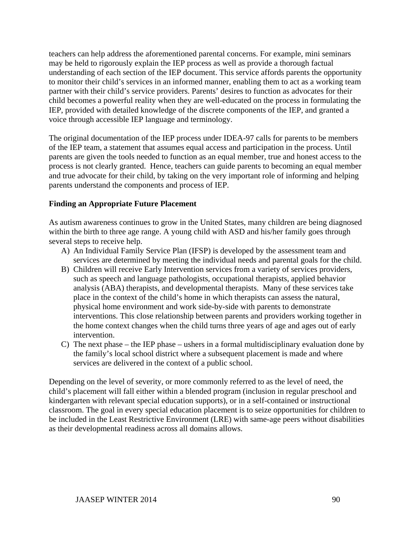teachers can help address the aforementioned parental concerns. For example, mini seminars may be held to rigorously explain the IEP process as well as provide a thorough factual understanding of each section of the IEP document. This service affords parents the opportunity to monitor their child's services in an informed manner, enabling them to act as a working team partner with their child's service providers. Parents' desires to function as advocates for their child becomes a powerful reality when they are well-educated on the process in formulating the IEP, provided with detailed knowledge of the discrete components of the IEP, and granted a voice through accessible IEP language and terminology.

The original documentation of the IEP process under IDEA-97 calls for parents to be members of the IEP team, a statement that assumes equal access and participation in the process. Until parents are given the tools needed to function as an equal member, true and honest access to the process is not clearly granted. Hence, teachers can guide parents to becoming an equal member and true advocate for their child, by taking on the very important role of informing and helping parents understand the components and process of IEP.

# **Finding an Appropriate Future Placement**

As autism awareness continues to grow in the United States, many children are being diagnosed within the birth to three age range. A young child with ASD and his/her family goes through several steps to receive help.

- A) An Individual Family Service Plan (IFSP) is developed by the assessment team and services are determined by meeting the individual needs and parental goals for the child.
- B) Children will receive Early Intervention services from a variety of services providers, such as speech and language pathologists, occupational therapists, applied behavior analysis (ABA) therapists, and developmental therapists. Many of these services take place in the context of the child's home in which therapists can assess the natural, physical home environment and work side-by-side with parents to demonstrate interventions. This close relationship between parents and providers working together in the home context changes when the child turns three years of age and ages out of early intervention.
- C) The next phase the IEP phase ushers in a formal multidisciplinary evaluation done by the family's local school district where a subsequent placement is made and where services are delivered in the context of a public school.

Depending on the level of severity, or more commonly referred to as the level of need, the child's placement will fall either within a blended program (inclusion in regular preschool and kindergarten with relevant special education supports), or in a self-contained or instructional classroom. The goal in every special education placement is to seize opportunities for children to be included in the Least Restrictive Environment (LRE) with same-age peers without disabilities as their developmental readiness across all domains allows.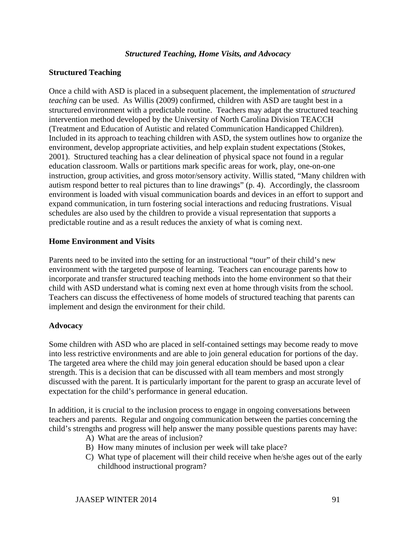## *Structured Teaching, Home Visits, and Advocacy*

## **Structured Teaching**

Once a child with ASD is placed in a subsequent placement, the implementation of *structured teaching* can be used. As Willis (2009) confirmed, children with ASD are taught best in a structured environment with a predictable routine. Teachers may adapt the structured teaching intervention method developed by the University of North Carolina Division TEACCH (Treatment and Education of Autistic and related Communication Handicapped Children). Included in its approach to teaching children with ASD, the system outlines how to organize the environment, develop appropriate activities, and help explain student expectations (Stokes, 2001). Structured teaching has a clear delineation of physical space not found in a regular education classroom. Walls or partitions mark specific areas for work, play, one-on-one instruction, group activities, and gross motor/sensory activity. Willis stated, "Many children with autism respond better to real pictures than to line drawings" (p. 4). Accordingly, the classroom environment is loaded with visual communication boards and devices in an effort to support and expand communication, in turn fostering social interactions and reducing frustrations. Visual schedules are also used by the children to provide a visual representation that supports a predictable routine and as a result reduces the anxiety of what is coming next.

## **Home Environment and Visits**

Parents need to be invited into the setting for an instructional "tour" of their child's new environment with the targeted purpose of learning. Teachers can encourage parents how to incorporate and transfer structured teaching methods into the home environment so that their child with ASD understand what is coming next even at home through visits from the school. Teachers can discuss the effectiveness of home models of structured teaching that parents can implement and design the environment for their child.

## **Advocacy**

Some children with ASD who are placed in self-contained settings may become ready to move into less restrictive environments and are able to join general education for portions of the day. The targeted area where the child may join general education should be based upon a clear strength. This is a decision that can be discussed with all team members and most strongly discussed with the parent. It is particularly important for the parent to grasp an accurate level of expectation for the child's performance in general education.

In addition, it is crucial to the inclusion process to engage in ongoing conversations between teachers and parents. Regular and ongoing communication between the parties concerning the child's strengths and progress will help answer the many possible questions parents may have:

- A) What are the areas of inclusion?
- B) How many minutes of inclusion per week will take place?
- C) What type of placement will their child receive when he/she ages out of the early childhood instructional program?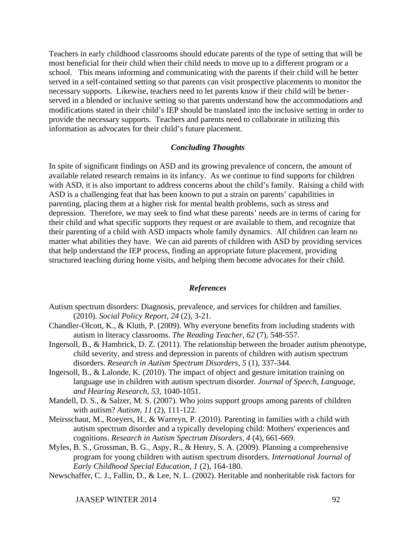Teachers in early childhood classrooms should educate parents of the type of setting that will be most beneficial for their child when their child needs to move up to a different program or a school. This means informing and communicating with the parents if their child will be better served in a self-contained setting so that parents can visit prospective placements to monitor the necessary supports. Likewise, teachers need to let parents know if their child will be betterserved in a blended or inclusive setting so that parents understand how the accommodations and modifications stated in their child's IEP should be translated into the inclusive setting in order to provide the necessary supports. Teachers and parents need to collaborate in utilizing this information as advocates for their child's future placement.

### *Concluding Thoughts*

In spite of significant findings on ASD and its growing prevalence of concern, the amount of available related research remains in its infancy. As we continue to find supports for children with ASD, it is also important to address concerns about the child's family. Raising a child with ASD is a challenging feat that has been known to put a strain on parents' capabilities in parenting, placing them at a higher risk for mental health problems, such as stress and depression. Therefore, we may seek to find what these parents' needs are in terms of caring for their child and what specific supports they request or are available to them, and recognize that their parenting of a child with ASD impacts whole family dynamics. All children can learn no matter what abilities they have. We can aid parents of children with ASD by providing services that help understand the IEP process, finding an appropriate future placement, providing structured teaching during home visits, and helping them become advocates for their child.

#### *References*

- Autism spectrum disorders: Diagnosis, prevalence, and services for children and families. (2010). *Social Policy Report, 24* (2), 3-21.
- Chandler-Olcott, K., & Kluth, P. (2009). Why everyone benefits from including students with autism in literacy classrooms. *The Reading Teacher, 62* (7), 548-557.
- Ingersoll, B., & Hambrick, D. Z. (2011). The relationship between the broader autism phenotype, child severity, and stress and depression in parents of children with autism spectrum disorders. *Research in Autism Spectrum Disorders, 5* (1), 337-344.
- Ingersoll, B., & Lalonde, K. (2010). The impact of object and gesture imitation training on language use in children with autism spectrum disorder. *Journal of Speech, Language, and Hearing Research, 53*, 1040-1051.
- Mandell, D. S., & Salzer, M. S. (2007). Who joins support groups among parents of children with autism? *Autism, 11* (2), 111-122.
- Meirsschaut, M., Roeyers, H., & Warreyn, P. (2010). Parenting in families with a child with autism spectrum disorder and a typically developing child: Mothers' experiences and cognitions. *Research in Autism Spectrum Disorders, 4* (4), 661-669.
- Myles, B. S., Grossman, B. G., Aspy, R., & Henry, S. A. (2009). Planning a comprehensive program for young children with autism spectrum disorders. *International Journal of Early Childhood Special Education, 1* (2), 164-180.
- Newschaffer, C. J., Fallin, D., & Lee, N. L. (2002). Heritable and nonheritable risk factors for

JAASEP WINTER 2014 92